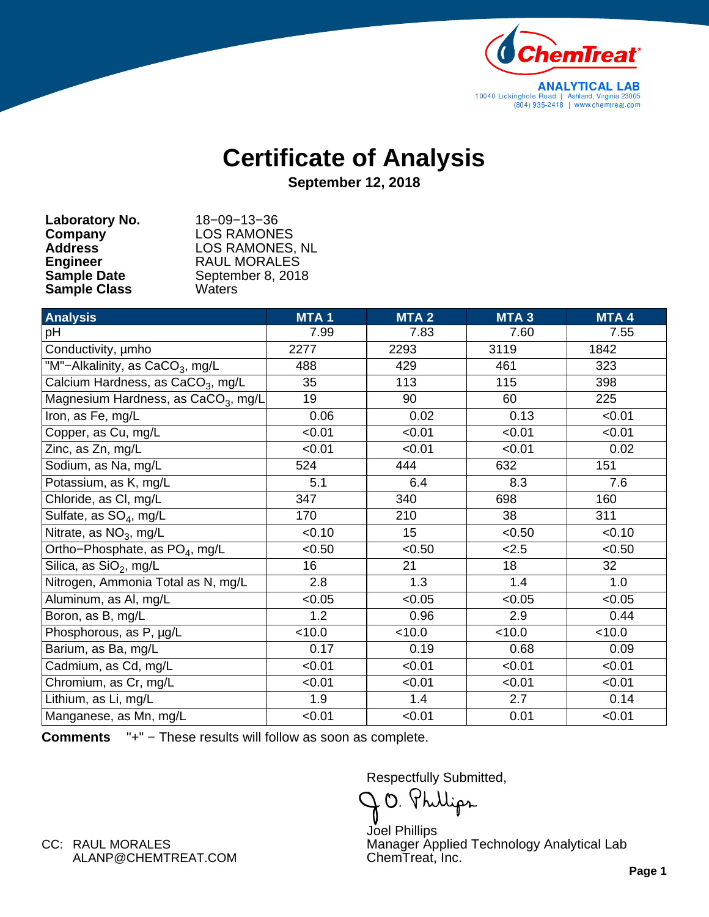

## **Certificate of Analysis**

**September 12, 2018**

| Laboratory No.      | $18 - 09 - 13 - 36$    |
|---------------------|------------------------|
| Company             | <b>LOS RAMONES</b>     |
| <b>Address</b>      | <b>LOS RAMONES, NL</b> |
| <b>Engineer</b>     | <b>RAUL MORALES</b>    |
| <b>Sample Date</b>  | September 8, 2018      |
| <b>Sample Class</b> | Waters                 |

| <b>Analysis</b>                                 | <b>MTA1</b> | MTA <sub>2</sub> | MTA <sub>3</sub> | MTA 4  |
|-------------------------------------------------|-------------|------------------|------------------|--------|
| pH                                              | 7.99        | 7.83             | 7.60             | 7.55   |
| Conductivity, umho                              | 2277        | 2293             | 3119             | 1842   |
| "M"-Alkalinity, as CaCO <sub>3</sub> , mg/L     | 488         | 429              | 461              | 323    |
| Calcium Hardness, as CaCO <sub>3</sub> , mg/L   | 35          | 113              | 115              | 398    |
| Magnesium Hardness, as CaCO <sub>3</sub> , mg/L | 19          | 90               | 60               | 225    |
| Iron, as Fe, mg/L                               | 0.06        | 0.02             | 0.13             | < 0.01 |
| Copper, as Cu, mg/L                             | < 0.01      | < 0.01           | < 0.01           | < 0.01 |
| Zinc, as Zn, mg/L                               | < 0.01      | < 0.01           | < 0.01           | 0.02   |
| Sodium, as Na, mg/L                             | 524         | 444              | 632              | 151    |
| Potassium, as K, mg/L                           | 5.1         | 6.4              | 8.3              | 7.6    |
| Chloride, as CI, mg/L                           | 347         | 340              | 698              | 160    |
| Sulfate, as SO <sub>4</sub> , mg/L              | 170         | 210              | 38               | 311    |
| Nitrate, as $NO3$ , mg/L                        | < 0.10      | 15               | < 0.50           | < 0.10 |
| Ortho-Phosphate, as PO <sub>4</sub> , mg/L      | < 0.50      | < 0.50           | 2.5              | < 0.50 |
| Silica, as SiO <sub>2</sub> , mg/L              | 16          | 21               | 18               | 32     |
| Nitrogen, Ammonia Total as N, mg/L              | 2.8         | 1.3              | 1.4              | 1.0    |
| Aluminum, as Al, mg/L                           | < 0.05      | < 0.05           | < 0.05           | < 0.05 |
| Boron, as B, mg/L                               | 1.2         | 0.96             | 2.9              | 0.44   |
| Phosphorous, as P, µg/L                         | < 10.0      | < 10.0           | < 10.0           | < 10.0 |
| Barium, as Ba, mg/L                             | 0.17        | 0.19             | 0.68             | 0.09   |
| Cadmium, as Cd, mg/L                            | < 0.01      | < 0.01           | < 0.01           | < 0.01 |
| Chromium, as Cr, mg/L                           | < 0.01      | < 0.01           | < 0.01           | < 0.01 |
| Lithium, as Li, mg/L                            | 1.9         | 1.4              | 2.7              | 0.14   |
| Manganese, as Mn, mg/L                          | < 0.01      | < 0.01           | 0.01             | < 0.01 |

**Comments** "+" − These results will follow as soon as complete.

Respectfully Submitted,

 $\mathcal{A}$ O.

ChemTreat, Inc. Manager Applied Technology Analytical Lab Joel Phillips

ALANP@CHEMTREAT.COM CC: RAUL MORALES